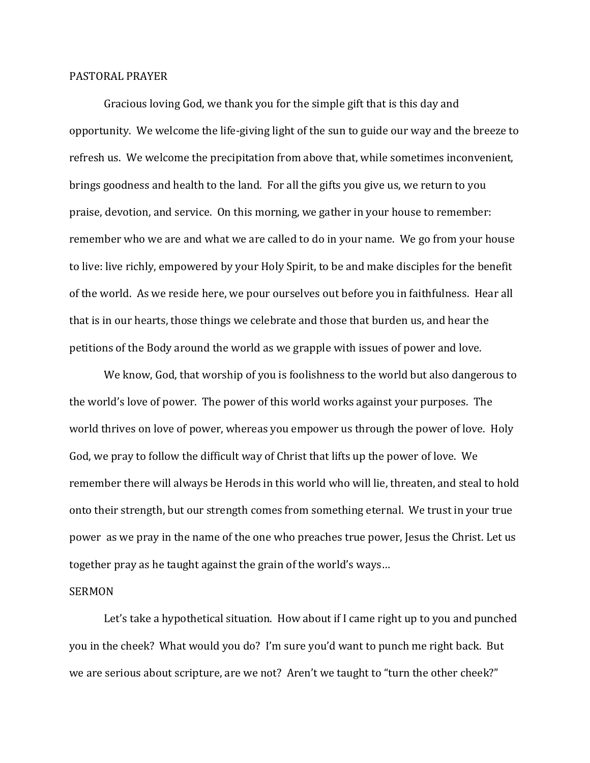## PASTORAL PRAYER

Gracious loving God, we thank you for the simple gift that is this day and opportunity. We welcome the life-giving light of the sun to guide our way and the breeze to refresh us. We welcome the precipitation from above that, while sometimes inconvenient, brings goodness and health to the land. For all the gifts you give us, we return to you praise, devotion, and service. On this morning, we gather in your house to remember: remember who we are and what we are called to do in your name. We go from your house to live: live richly, empowered by your Holy Spirit, to be and make disciples for the benefit of the world. As we reside here, we pour ourselves out before you in faithfulness. Hear all that is in our hearts, those things we celebrate and those that burden us, and hear the petitions of the Body around the world as we grapple with issues of power and love.

We know, God, that worship of you is foolishness to the world but also dangerous to the world's love of power. The power of this world works against your purposes. The world thrives on love of power, whereas you empower us through the power of love. Holy God, we pray to follow the difficult way of Christ that lifts up the power of love. We remember there will always be Herods in this world who will lie, threaten, and steal to hold onto their strength, but our strength comes from something eternal. We trust in your true power as we pray in the name of the one who preaches true power, Jesus the Christ. Let us together pray as he taught against the grain of the world's ways…

## SERMON

Let's take a hypothetical situation. How about if I came right up to you and punched you in the cheek? What would you do? I'm sure you'd want to punch me right back. But we are serious about scripture, are we not? Aren't we taught to "turn the other cheek?"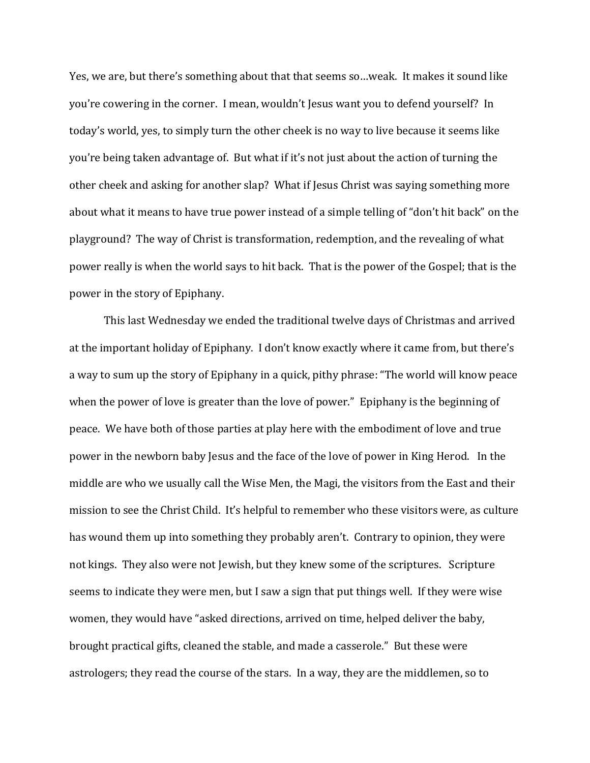Yes, we are, but there's something about that that seems so…weak. It makes it sound like you're cowering in the corner. I mean, wouldn't Jesus want you to defend yourself? In today's world, yes, to simply turn the other cheek is no way to live because it seems like you're being taken advantage of. But what if it's not just about the action of turning the other cheek and asking for another slap? What if Jesus Christ was saying something more about what it means to have true power instead of a simple telling of "don't hit back" on the playground? The way of Christ is transformation, redemption, and the revealing of what power really is when the world says to hit back. That is the power of the Gospel; that is the power in the story of Epiphany.

This last Wednesday we ended the traditional twelve days of Christmas and arrived at the important holiday of Epiphany. I don't know exactly where it came from, but there's a way to sum up the story of Epiphany in a quick, pithy phrase: "The world will know peace when the power of love is greater than the love of power." Epiphany is the beginning of peace. We have both of those parties at play here with the embodiment of love and true power in the newborn baby Jesus and the face of the love of power in King Herod. In the middle are who we usually call the Wise Men, the Magi, the visitors from the East and their mission to see the Christ Child. It's helpful to remember who these visitors were, as culture has wound them up into something they probably aren't. Contrary to opinion, they were not kings. They also were not Jewish, but they knew some of the scriptures. Scripture seems to indicate they were men, but I saw a sign that put things well. If they were wise women, they would have "asked directions, arrived on time, helped deliver the baby, brought practical gifts, cleaned the stable, and made a casserole." But these were astrologers; they read the course of the stars. In a way, they are the middlemen, so to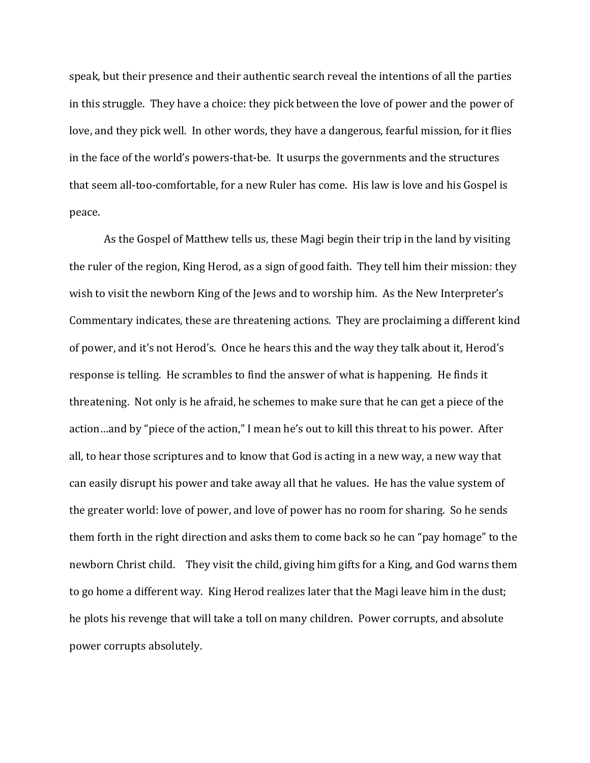speak, but their presence and their authentic search reveal the intentions of all the parties in this struggle. They have a choice: they pick between the love of power and the power of love, and they pick well. In other words, they have a dangerous, fearful mission, for it flies in the face of the world's powers-that-be. It usurps the governments and the structures that seem all-too-comfortable, for a new Ruler has come. His law is love and his Gospel is peace.

As the Gospel of Matthew tells us, these Magi begin their trip in the land by visiting the ruler of the region, King Herod, as a sign of good faith. They tell him their mission: they wish to visit the newborn King of the Jews and to worship him. As the New Interpreter's Commentary indicates, these are threatening actions. They are proclaiming a different kind of power, and it's not Herod's. Once he hears this and the way they talk about it, Herod's response is telling. He scrambles to find the answer of what is happening. He finds it threatening. Not only is he afraid, he schemes to make sure that he can get a piece of the action…and by "piece of the action," I mean he's out to kill this threat to his power. After all, to hear those scriptures and to know that God is acting in a new way, a new way that can easily disrupt his power and take away all that he values. He has the value system of the greater world: love of power, and love of power has no room for sharing. So he sends them forth in the right direction and asks them to come back so he can "pay homage" to the newborn Christ child. They visit the child, giving him gifts for a King, and God warns them to go home a different way. King Herod realizes later that the Magi leave him in the dust; he plots his revenge that will take a toll on many children. Power corrupts, and absolute power corrupts absolutely.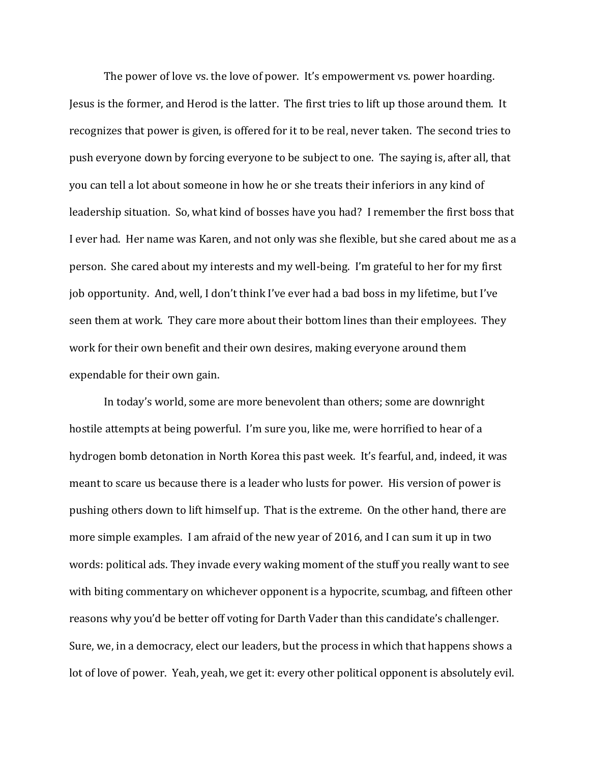The power of love vs. the love of power. It's empowerment vs. power hoarding. Jesus is the former, and Herod is the latter. The first tries to lift up those around them. It recognizes that power is given, is offered for it to be real, never taken. The second tries to push everyone down by forcing everyone to be subject to one. The saying is, after all, that you can tell a lot about someone in how he or she treats their inferiors in any kind of leadership situation. So, what kind of bosses have you had? I remember the first boss that I ever had. Her name was Karen, and not only was she flexible, but she cared about me as a person. She cared about my interests and my well-being. I'm grateful to her for my first job opportunity. And, well, I don't think I've ever had a bad boss in my lifetime, but I've seen them at work. They care more about their bottom lines than their employees. They work for their own benefit and their own desires, making everyone around them expendable for their own gain.

In today's world, some are more benevolent than others; some are downright hostile attempts at being powerful. I'm sure you, like me, were horrified to hear of a hydrogen bomb detonation in North Korea this past week. It's fearful, and, indeed, it was meant to scare us because there is a leader who lusts for power. His version of power is pushing others down to lift himself up. That is the extreme. On the other hand, there are more simple examples. I am afraid of the new year of 2016, and I can sum it up in two words: political ads. They invade every waking moment of the stuff you really want to see with biting commentary on whichever opponent is a hypocrite, scumbag, and fifteen other reasons why you'd be better off voting for Darth Vader than this candidate's challenger. Sure, we, in a democracy, elect our leaders, but the process in which that happens shows a lot of love of power. Yeah, yeah, we get it: every other political opponent is absolutely evil.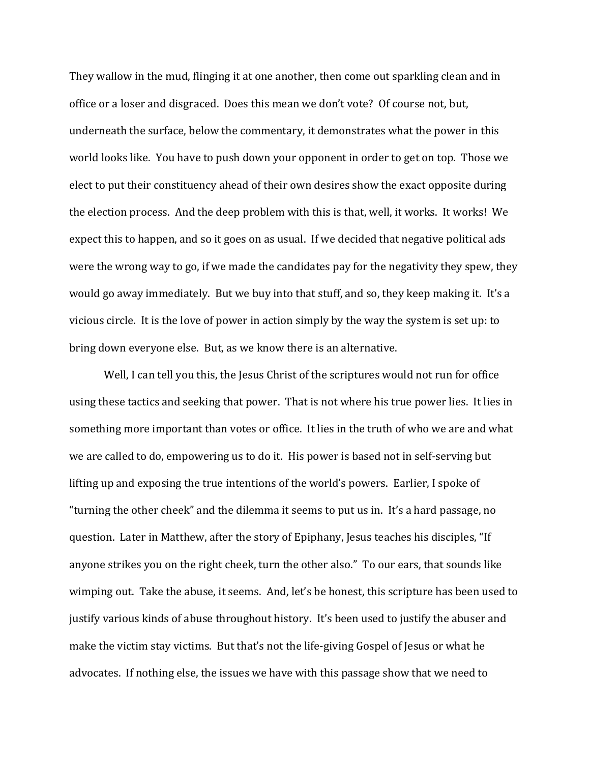They wallow in the mud, flinging it at one another, then come out sparkling clean and in office or a loser and disgraced. Does this mean we don't vote? Of course not, but, underneath the surface, below the commentary, it demonstrates what the power in this world looks like. You have to push down your opponent in order to get on top. Those we elect to put their constituency ahead of their own desires show the exact opposite during the election process. And the deep problem with this is that, well, it works. It works! We expect this to happen, and so it goes on as usual. If we decided that negative political ads were the wrong way to go, if we made the candidates pay for the negativity they spew, they would go away immediately. But we buy into that stuff, and so, they keep making it. It's a vicious circle. It is the love of power in action simply by the way the system is set up: to bring down everyone else. But, as we know there is an alternative.

Well, I can tell you this, the Jesus Christ of the scriptures would not run for office using these tactics and seeking that power. That is not where his true power lies. It lies in something more important than votes or office. It lies in the truth of who we are and what we are called to do, empowering us to do it. His power is based not in self-serving but lifting up and exposing the true intentions of the world's powers. Earlier, I spoke of "turning the other cheek" and the dilemma it seems to put us in. It's a hard passage, no question. Later in Matthew, after the story of Epiphany, Jesus teaches his disciples, "If anyone strikes you on the right cheek, turn the other also." To our ears, that sounds like wimping out. Take the abuse, it seems. And, let's be honest, this scripture has been used to justify various kinds of abuse throughout history. It's been used to justify the abuser and make the victim stay victims. But that's not the life-giving Gospel of Jesus or what he advocates. If nothing else, the issues we have with this passage show that we need to